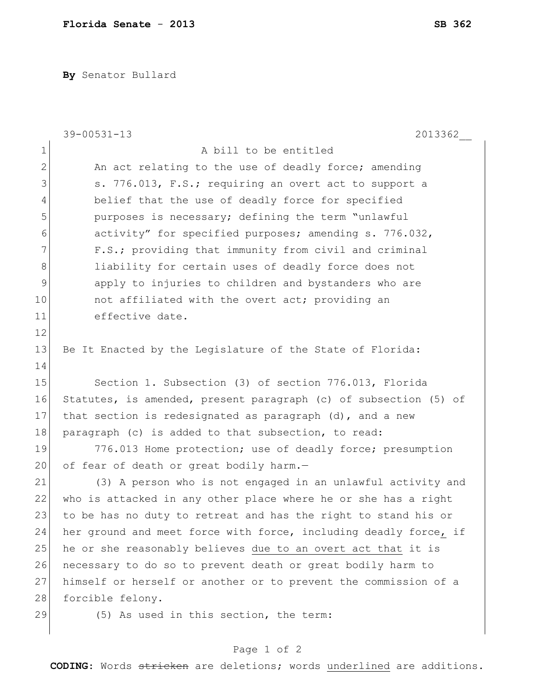**By** Senator Bullard

|              | $39 - 00531 - 13$<br>2013362                                     |
|--------------|------------------------------------------------------------------|
| $\mathbf 1$  | A bill to be entitled                                            |
| $\mathbf{2}$ | An act relating to the use of deadly force; amending             |
| 3            | s. 776.013, F.S.; requiring an overt act to support a            |
| 4            | belief that the use of deadly force for specified                |
| 5            | purposes is necessary; defining the term "unlawful               |
| 6            | activity" for specified purposes; amending s. 776.032,           |
| 7            | F.S.; providing that immunity from civil and criminal            |
| 8            | liability for certain uses of deadly force does not              |
| 9            | apply to injuries to children and bystanders who are             |
| 10           | not affiliated with the overt act; providing an                  |
| 11           | effective date.                                                  |
| 12           |                                                                  |
| 13           | Be It Enacted by the Legislature of the State of Florida:        |
| 14           |                                                                  |
| 15           | Section 1. Subsection (3) of section 776.013, Florida            |
| 16           | Statutes, is amended, present paragraph (c) of subsection (5) of |
| 17           | that section is redesignated as paragraph $(d)$ , and a new      |
| 18           | paragraph (c) is added to that subsection, to read:              |
| 19           | 776.013 Home protection; use of deadly force; presumption        |
| 20           | of fear of death or great bodily harm.-                          |
| 21           | (3) A person who is not engaged in an unlawful activity and      |
| 22           | who is attacked in any other place where he or she has a right   |
| 23           | to be has no duty to retreat and has the right to stand his or   |
| 24           | her ground and meet force with force, including deadly force, if |
| 25           | he or she reasonably believes due to an overt act that it is     |
| 26           | necessary to do so to prevent death or great bodily harm to      |
| 27           | himself or herself or another or to prevent the commission of a  |
| 28           | forcible felony.                                                 |
| 29           | (5) As used in this section, the term:                           |
|              |                                                                  |

## Page 1 of 2

**CODING**: Words stricken are deletions; words underlined are additions.